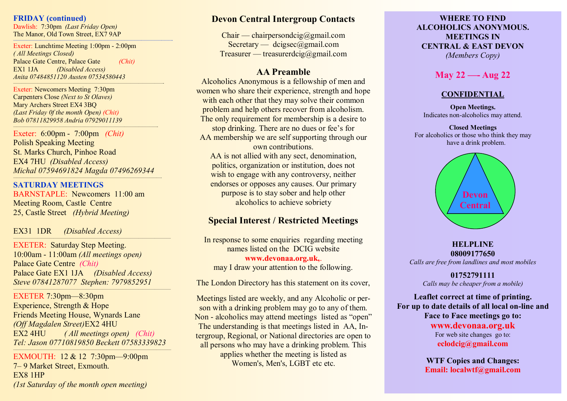### **FRIDAY (continued)**

Dawlish: 7:30pm *(Last Friday Open)* The Manor, Old Town Street, EX7 9AP

**———————————————————————————————————————————————-** Exeter: Lunchtime Meeting 1:00pm - 2:00pm *( All Meetings Closed)* Palace Gate Centre, Palace Gate *(Chit)* EX1 1JA *(Disabled Access) Anita 07484851120 Austen 07534580443*

—————————————————————————————————————-

Exeter: Newcomers Meeting 7:30pm Carpenters Close *(Next to St Olaves)* Mary Archers Street EX4 3BQ *(Last Friday 0f the month Open) (Chit) Bob 07811829958 Andria 07929011139*

Exeter: 6:00pm - 7:00pm *(Chit)* Polish Speaking Meeting St. Marks Church, Pinhoe Road EX4 7HU *(Disabled Access) Michal 07594691824 Magda 07496269344*

*—————————————————————————————————————————-*

*————————————————————————————————————————-*

**SATURDAY MEETINGS**  BARNSTAPLE: Newcomers 11:00 am Meeting Room, Castle Centre 25, Castle Street *(Hybrid Meeting)*

EX31 1DR *(Disabled Access)*

EXETER: Saturday Step Meeting. 10:00am - 11:00am *(All meetings open)* Palace Gate Centre *(Chit)* Palace Gate EX1 1JA *(Disabled Access) Steve 07841287077 Stephen: 7979852951*

———————————————————————————————————————

EXETER 7:30pm—8:30pm Experience, Strength & Hope Friends Meeting House, Wynards Lane *(Off Magdalen Street)*EX2 4HU EX2 4HU *( All meetings open) (Chit) Tel: Jason 07710819850 Beckett 07583339823*

*————————————————————————————————————————————*

———————————————————————————————————————

EXMOUTH: 12 & 12 7:30pm—9:00pm 7– 9 Market Street, Exmouth. EX8 1HP *(1st Saturday of the month open meeting)*

# **Devon Central Intergroup Contacts**

 $Chain - chair$  persondcig@gmail.com Secretary — dcigsec@gmail.com Treasurer — treasurerdcig@gmail.com

### **AA Preamble**

Alcoholics Anonymous is a fellowship of men and women who share their experience, strength and hope with each other that they may solve their common problem and help others recover from alcoholism. The only requirement for membership is a desire to stop drinking. There are no dues or fee's for AA membership we are self supporting through our own contributions. AA is not allied with any sect, denomination, politics, organization or institution, does not wish to engage with any controversy, neither endorses or opposes any causes. Our primary

> purpose is to stay sober and help other alcoholics to achieve sobriety

# **Special Interest / Restricted Meetings**

In response to some enquiries regarding meeting names listed on the DCIG website **www.devonaa.org.uk,**. may I draw your attention to the following.

The London Directory has this statement on its cover,

Meetings listed are weekly, and any Alcoholic or person with a drinking problem may go to any of them. Non - alcoholics may attend meetings listed as "open" The understanding is that meetings listed in AA, Intergroup, Regional, or National directories are open to all persons who may have a drinking problem. This applies whether the meeting is listed as Women's, Men's, LGBT etc etc.

### **WHERE TO FIND ALCOHOLICS ANONYMOUS. MEETINGS IN CENTRAL & EAST DEVON** *(Members Copy)*

# **May 22 —- Aug 22**

## **CONFIDENTIAL**

**Open Meetings.** Indicates non-alcoholics may attend.

**Closed Meetings** For alcoholics or those who think they may have a drink problem.



### **HELPLINE 08009177650**

*Calls are free from landlines and most mobiles*

**01752791111** *Calls may be cheaper from a mobile)*

**Leaflet correct at time of printing. For up to date details of all local on-line and Face to Face meetings go to: www.devonaa.org.uk** For web site changes go to: **eclodcig@gmail.com**

> **WTF Copies and Changes: Email: localwtf@gmail.com**